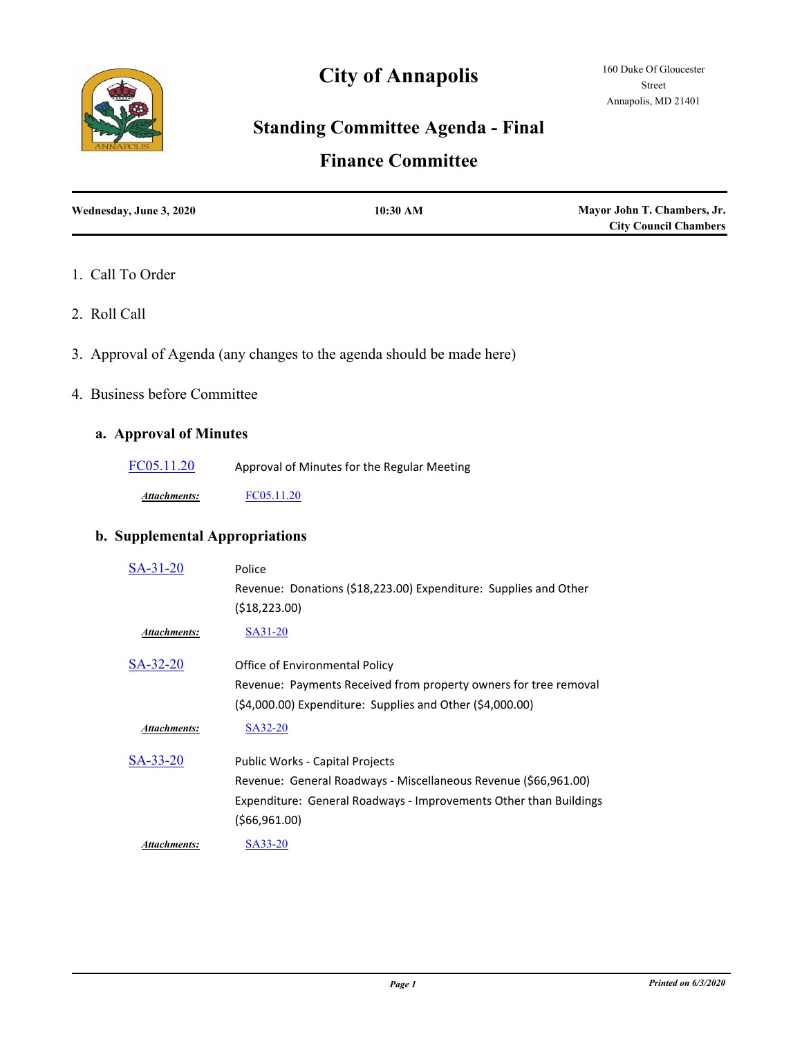# **Standing Committee Agenda - Final**

**City of Annapolis**

# **Finance Committee**

| Wednesday, June 3, 2020 | 10:30 AM | Mayor John T. Chambers, Jr.  |
|-------------------------|----------|------------------------------|
|                         |          | <b>City Council Chambers</b> |

### 1. Call To Order

- 2. Roll Call
- 3. Approval of Agenda (any changes to the agenda should be made here)
- 4. Business before Committee

## **a. Approval of Minutes**

[FC05.11.20](http://annapolismd.legistar.com/gateway.aspx?m=l&id=/matter.aspx?key=4803) Approval of Minutes for the Regular Meeting

*Attachments:* [FC05.11.20](http://annapolismd.legistar.com/gateway.aspx?M=F&ID=5e6cbbf6-2480-4035-96c1-b263aba02b2b.pdf)

## **b. Supplemental Appropriations**

| $SA-31-20$          | Police                                                            |
|---------------------|-------------------------------------------------------------------|
|                     | Revenue: Donations (\$18,223.00) Expenditure: Supplies and Other  |
|                     | ( \$18, 223.00)                                                   |
| <b>Attachments:</b> | SA31-20                                                           |
| $SA-32-20$          | Office of Environmental Policy                                    |
|                     | Revenue: Payments Received from property owners for tree removal  |
|                     | $(54,000.00)$ Expenditure: Supplies and Other $(54,000.00)$       |
| Attachments:        | SA32-20                                                           |
| SA-33-20            | <b>Public Works - Capital Projects</b>                            |
|                     | Revenue: General Roadways - Miscellaneous Revenue (\$66,961.00)   |
|                     | Expenditure: General Roadways - Improvements Other than Buildings |
|                     | (\$66,961.00)                                                     |
| Attachments:        | SA33-20                                                           |